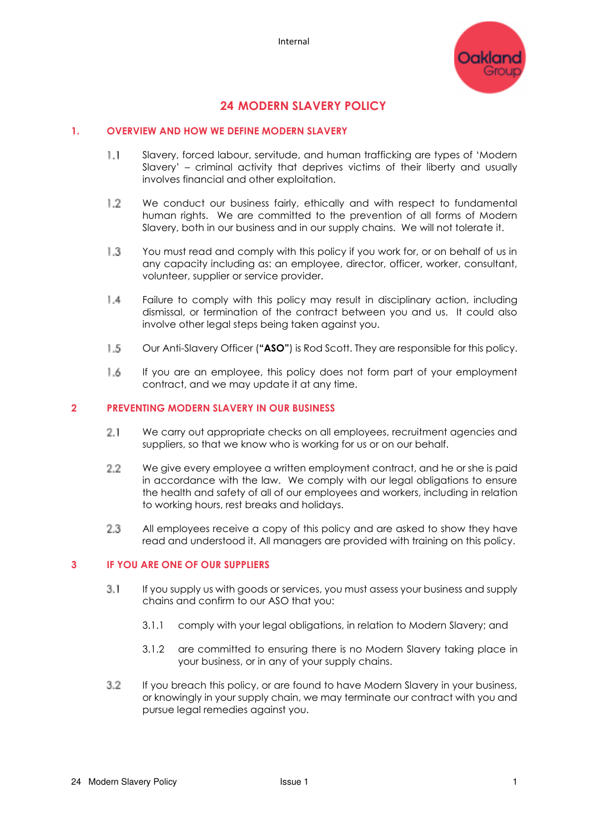

# **24 MODERN SLAVERY POLICY**

### **1. OVERVIEW AND HOW WE DEFINE MODERN SLAVERY**

- $1.1$ Slavery, forced labour, servitude, and human trafficking are types of 'Modern Slavery' – criminal activity that deprives victims of their liberty and usually involves financial and other exploitation.
- 1.2 We conduct our business fairly, ethically and with respect to fundamental human rights. We are committed to the prevention of all forms of Modern Slavery, both in our business and in our supply chains. We will not tolerate it.
- $1.3$ You must read and comply with this policy if you work for, or on behalf of us in any capacity including as: an employee, director, officer, worker, consultant, volunteer, supplier or service provider.
- $1.4$ Failure to comply with this policy may result in disciplinary action, including dismissal, or termination of the contract between you and us. It could also involve other legal steps being taken against you.
- $1.5$ Our Anti-Slavery Officer (**"ASO"**) is Rod Scott. They are responsible for this policy.
- 1.6 If you are an employee, this policy does not form part of your employment contract, and we may update it at any time.

#### **2 PREVENTING MODERN SLAVERY IN OUR BUSINESS**

- $2.1$ We carry out appropriate checks on all employees, recruitment agencies and suppliers, so that we know who is working for us or on our behalf.
- $2.2$ We give every employee a written employment contract, and he or she is paid in accordance with the law. We comply with our legal obligations to ensure the health and safety of all of our employees and workers, including in relation to working hours, rest breaks and holidays.
- 2.3 All employees receive a copy of this policy and are asked to show they have read and understood it. All managers are provided with training on this policy.

#### **3 IF YOU ARE ONE OF OUR SUPPLIERS**

- $3.1$ If you supply us with goods or services, you must assess your business and supply chains and confirm to our ASO that you:
	- 3.1.1 comply with your legal obligations, in relation to Modern Slavery; and
	- 3.1.2 are committed to ensuring there is no Modern Slavery taking place in your business, or in any of your supply chains.
- 3.2 If you breach this policy, or are found to have Modern Slavery in your business, or knowingly in your supply chain, we may terminate our contract with you and pursue legal remedies against you.